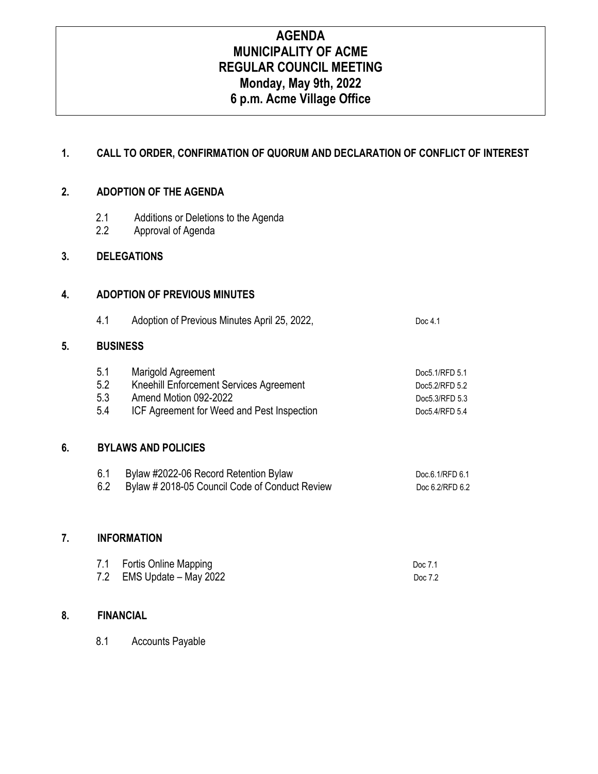# **AGENDA MUNICIPALITY OF ACME REGULAR COUNCIL MEETING Monday, May 9th, 2022 6 p.m. Acme Village Office**

# **1. CALL TO ORDER, CONFIRMATION OF QUORUM AND DECLARATION OF CONFLICT OF INTEREST**

#### **2. ADOPTION OF THE AGENDA**

- 2.1 Additions or Deletions to the Agenda
- 2.2 Approval of Agenda

#### **3. DELEGATIONS**

#### **4. ADOPTION OF PREVIOUS MINUTES**

| 4.1 | Adoption of Previous Minutes April 25, 2022, | Doc $4.1$ |
|-----|----------------------------------------------|-----------|
|-----|----------------------------------------------|-----------|

### **5. BUSINESS**

| 5.1 | Marigold Agreement                         | Doc5.1/RFD 5.1 |
|-----|--------------------------------------------|----------------|
| 5.2 | Kneehill Enforcement Services Agreement    | Doc5.2/RFD 5.2 |
| 5.3 | Amend Motion 092-2022                      | Doc5.3/RFD 5.3 |
| 5.4 | ICF Agreement for Weed and Pest Inspection | Doc5.4/RFD 5.4 |

#### **6. BYLAWS AND POLICIES**

| Bylaw #2022-06 Record Retention Bylaw          | Doc.6.1/RFD 6.1 |
|------------------------------------------------|-----------------|
| Bylaw # 2018-05 Council Code of Conduct Review | Doc 6.2/RFD 6.2 |

#### **7. INFORMATION**

| 7.1 Fortis Online Mapping | Doc 7.1 |
|---------------------------|---------|
| 7.2 EMS Update - May 2022 | Doc 7.2 |

## **8. FINANCIAL**

8.1 Accounts Payable